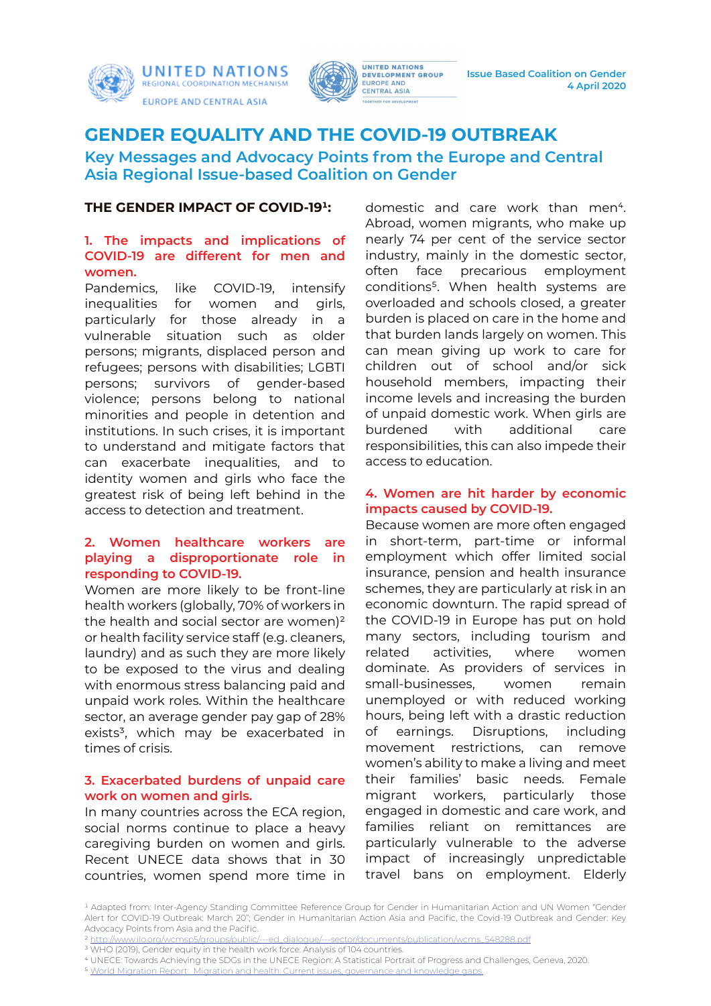





**Issue Based Coalition on Gender 4 April 2020**

# **GENDER EQUALITY AND THE COVID-19 OUTBREAK**

**Key Messages and Advocacy Points from the Europe and Central Asia Regional Issue-based Coalition on Gender**

### **THE GENDER IMPACT OF COVID-191:**

# **1. The impacts and implications of COVID-19 are different for men and women.**

Pandemics, like COVID-19, intensify inequalities for women and girls, particularly for those already in a vulnerable situation such as older persons; migrants, displaced person and refugees; persons with disabilities; LGBTI persons; survivors of gender-based violence; persons belong to national minorities and people in detention and institutions. In such crises, it is important to understand and mitigate factors that can exacerbate inequalities, and to identity women and girls who face the greatest risk of being left behind in the access to detection and treatment.

# **2. Women healthcare workers are playing a disproportionate role in responding to COVID-19.**

Women are more likely to be front-line health workers (globally, 70% of workers in the health and social sector are women)² or health facility service staff (e.g. cleaners, laundry) and as such they are more likely to be exposed to the virus and dealing with enormous stress balancing paid and unpaid work roles. Within the healthcare sector, an average gender pay gap of 28% exists<sup>3</sup>, which may be exacerbated in times of crisis.

### **3. Exacerbated burdens of unpaid care work on women and girls.**

In many countries across the ECA region, social norms continue to place a heavy caregiving burden on women and girls. Recent UNECE data shows that in 30 countries, women spend more time in domestic and care work than men<sup>4</sup>. Abroad, women migrants, who make up nearly 74 per cent of the service sector industry, mainly in the domestic sector, often face precarious employment conditions<sup>5</sup>. When health systems are overloaded and schools closed, a greater burden is placed on care in the home and that burden lands largely on women. This can mean giving up work to care for children out of school and/or sick household members, impacting their income levels and increasing the burden of unpaid domestic work. When girls are burdened with additional care responsibilities, this can also impede their access to education.

### **4. Women are hit harder by economic impacts caused by COVID-19.**

Because women are more often engaged in short-term, part-time or informal employment which offer limited social insurance, pension and health insurance schemes, they are particularly at risk in an economic downturn. The rapid spread of the COVID-19 in Europe has put on hold many sectors, including tourism and related activities, where women dominate. As providers of services in small-businesses, women remain unemployed or with reduced working hours, being left with a drastic reduction of earnings. Disruptions, including movement restrictions, can remove women's ability to make a living and meet their families' basic needs. Female migrant workers, particularly those engaged in domestic and care work, and families reliant on remittances are particularly vulnerable to the adverse impact of increasingly unpredictable travel bans on employment. Elderly

- <sup>3</sup> WHO (2019), Gender equity in the health work force: Analysis of 104 countries.
- ⁴ UNECE: Towards Achieving the SDGs in the UNECE Region: A Statistical Portrait of Progress and Challenges, Geneva, 2020.

<sup>&</sup>lt;sup>1</sup> Adapted from: Inter-Agency Standing Committee Reference Group for Gender in Humanitarian Action and UN Women "Gender Alert for COVID-19 Outbreak: March 20"; Gender in Humanitarian Action Asia and Pacific, the Covid-19 Outbreak and Gender: Key Advocacy Points from Asia and the Pacific.

² [http://www.ilo.org/wcmsp5/groups/public/---ed\\_dialogue/---sector/documents/publication/wcms\\_548288.pdf](http://www.ilo.org/wcmsp5/groups/public/---ed_dialogue/---sector/documents/publication/wcms_548288.pdf)

<sup>&</sup>lt;sup>5</sup> [World Migration Report: Migration and health: Current issues, governance and knowledge gaps.](https://publications.iom.int/system/files/pdf/wmr_2020_en_ch_7.pdf )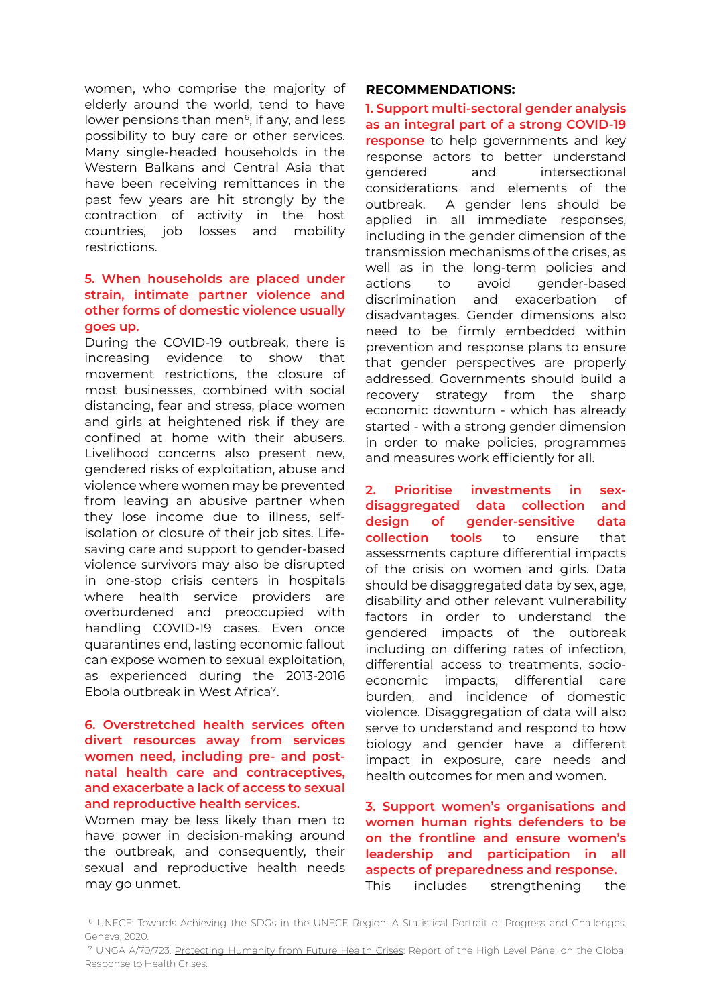women, who comprise the majority of elderly around the world, tend to have lower pensions than men<sup>6</sup>, if any, and less possibility to buy care or other services. Many single-headed households in the Western Balkans and Central Asia that have been receiving remittances in the past few years are hit strongly by the contraction of activity in the host countries, job losses and mobility restrictions.

#### **5. When households are placed under strain, intimate partner violence and other forms of domestic violence usually goes up.**

During the COVID-19 outbreak, there is increasing evidence to show that movement restrictions, the closure of most businesses, combined with social distancing, fear and stress, place women and girls at heightened risk if they are confined at home with their abusers. Livelihood concerns also present new, gendered risks of exploitation, abuse and violence where women may be prevented from leaving an abusive partner when they lose income due to illness, selfisolation or closure of their job sites. Lifesaving care and support to gender-based violence survivors may also be disrupted in one-stop crisis centers in hospitals where health service providers are overburdened and preoccupied with handling COVID-19 cases. Even once quarantines end, lasting economic fallout can expose women to sexual exploitation, as experienced during the 2013-2016 Ebola outbreak in West Africa<sup>7</sup>.

## **6. Overstretched health services often divert resources away from services women need, including pre- and postnatal health care and contraceptives, and exacerbate a lack of access to sexual and reproductive health services.**

Women may be less likely than men to have power in decision-making around the outbreak, and consequently, their sexual and reproductive health needs may go unmet.

#### **RECOMMENDATIONS:**

**1. Support multi-sectoral gender analysis as an integral part of a strong COVID-19 response** to help governments and key response actors to better understand gendered and intersectional considerations and elements of the outbreak. A gender lens should be applied in all immediate responses, including in the gender dimension of the transmission mechanisms of the crises, as well as in the long-term policies and actions to avoid gender-based discrimination and exacerbation of disadvantages. Gender dimensions also need to be firmly embedded within prevention and response plans to ensure that gender perspectives are properly addressed. Governments should build a recovery strategy from the sharp economic downturn - which has already started - with a strong gender dimension in order to make policies, programmes and measures work efficiently for all.

**2. Prioritise investments in sexdisaggregated data collection and design of gender-sensitive data collection tools** to ensure that assessments capture differential impacts of the crisis on women and girls. Data should be disaggregated data by sex, age, disability and other relevant vulnerability factors in order to understand the gendered impacts of the outbreak including on differing rates of infection, differential access to treatments, socioeconomic impacts, differential care burden, and incidence of domestic violence. Disaggregation of data will also serve to understand and respond to how biology and gender have a different impact in exposure, care needs and health outcomes for men and women.

**3. Support women's organisations and women human rights defenders to be on the frontline and ensure women's leadership and participation in all aspects of preparedness and response.** This includes strengthening the

⁶ UNECE: Towards Achieving the SDGs in the UNECE Region: A Statistical Portrait of Progress and Challenges, Geneva, 2020.

⁷ UNGA A/70/723. Protecting Humanity from Future Health Crises: Report of the High Level Panel on the Global Response to Health Crises.